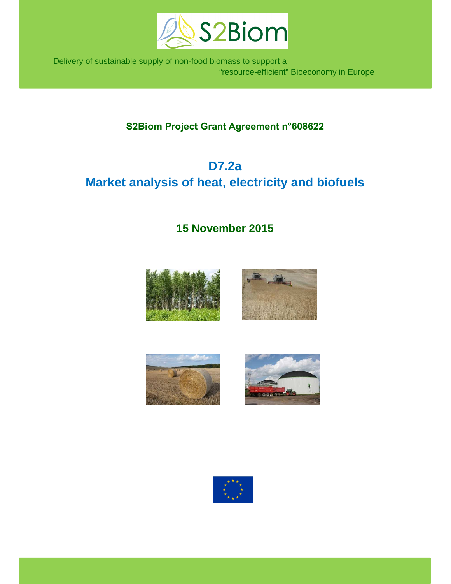

 Delivery of sustainable supply of non-food biomass to support a "resource-efficient" Bioeconomy in Europe

# **S2Biom Project Grant Agreement n°608622**

# **D7.2a Market analysis of heat, electricity and biofuels**

# **15 November 2015**







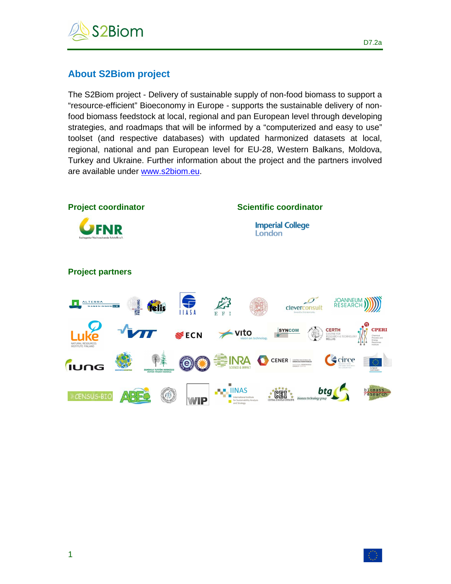

# **About S2Biom project**

The S2Biom project - Delivery of sustainable supply of non-food biomass to support a "resource-efficient" Bioeconomy in Europe - supports the sustainable delivery of nonfood biomass feedstock at local, regional and pan European level through developing strategies, and roadmaps that will be informed by a "computerized and easy to use" toolset (and respective databases) with updated harmonized datasets at local, regional, national and pan European level for EU-28, Western Balkans, Moldova, Turkey and Ukraine. Further information about the project and the partners involved are available under www.s2biom.eu.

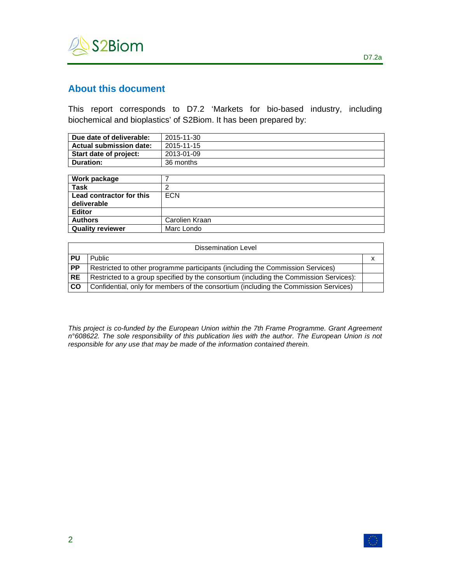

# **About this document**

This report corresponds to D7.2 'Markets for bio-based industry, including biochemical and bioplastics' of S2Biom. It has been prepared by:

| Due date of deliverable: | 2015-11-30 |
|--------------------------|------------|
| Actual submission date:  | 2015-11-15 |
| Start date of project:   | 2013-01-09 |
| l Duration:              | 36 months  |

| Work package             |                |
|--------------------------|----------------|
| <b>Task</b>              |                |
| Lead contractor for this | <b>ECN</b>     |
| deliverable              |                |
| <b>Editor</b>            |                |
| <b>Authors</b>           | Carolien Kraan |
| <b>Quality reviewer</b>  | Marc Londo     |

|                 | Dissemination Level                                                                    |  |  |  |  |  |
|-----------------|----------------------------------------------------------------------------------------|--|--|--|--|--|
| PU              | <b>Public</b>                                                                          |  |  |  |  |  |
| $\overline{PP}$ | Restricted to other programme participants (including the Commission Services)         |  |  |  |  |  |
| <b>RE</b>       | Restricted to a group specified by the consortium (including the Commission Services): |  |  |  |  |  |
| <b>CO</b>       | Confidential, only for members of the consortium (including the Commission Services)   |  |  |  |  |  |

This project is co-funded by the European Union within the 7th Frame Programme. Grant Agreement n°608622. The sole responsibility of this publication lies with the author. The European Union is not responsible for any use that may be made of the information contained therein.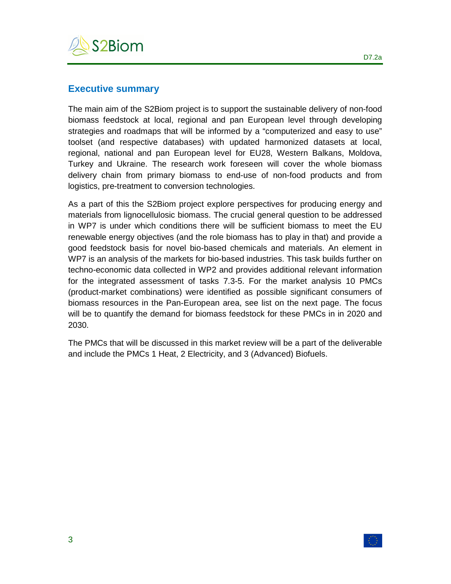

## **Executive summary**

The main aim of the S2Biom project is to support the sustainable delivery of non-food biomass feedstock at local, regional and pan European level through developing strategies and roadmaps that will be informed by a "computerized and easy to use" toolset (and respective databases) with updated harmonized datasets at local, regional, national and pan European level for EU28, Western Balkans, Moldova, Turkey and Ukraine. The research work foreseen will cover the whole biomass delivery chain from primary biomass to end-use of non-food products and from logistics, pre-treatment to conversion technologies.

As a part of this the S2Biom project explore perspectives for producing energy and materials from lignocellulosic biomass. The crucial general question to be addressed in WP7 is under which conditions there will be sufficient biomass to meet the EU renewable energy objectives (and the role biomass has to play in that) and provide a good feedstock basis for novel bio-based chemicals and materials. An element in WP7 is an analysis of the markets for bio-based industries. This task builds further on techno-economic data collected in WP2 and provides additional relevant information for the integrated assessment of tasks 7.3-5. For the market analysis 10 PMCs (product-market combinations) were identified as possible significant consumers of biomass resources in the Pan-European area, see list on the next page. The focus will be to quantify the demand for biomass feedstock for these PMCs in in 2020 and 2030.

The PMCs that will be discussed in this market review will be a part of the deliverable and include the PMCs 1 Heat, 2 Electricity, and 3 (Advanced) Biofuels.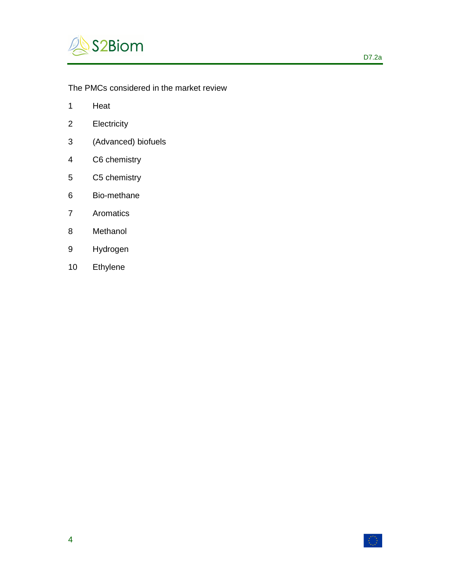

# The PMCs considered in the market review

- 1 Heat
- 2 Electricity
- 3 (Advanced) biofuels
- 4 C6 chemistry
- 5 C5 chemistry
- 6 Bio-methane
- 7 Aromatics
- 8 Methanol
- 9 Hydrogen
- 10 Ethylene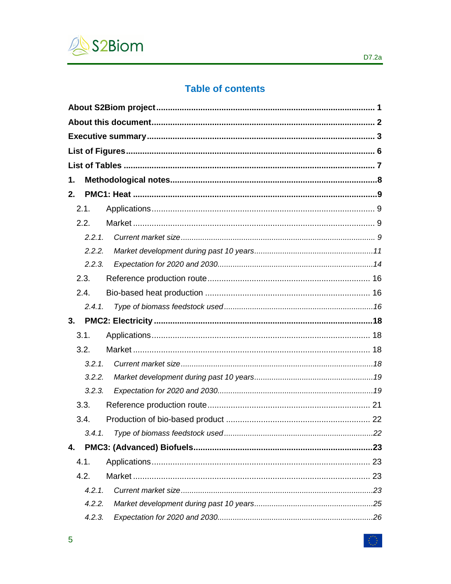

# **Table of contents**

| 1. |        |  |
|----|--------|--|
| 2. |        |  |
|    | 2.1.   |  |
|    | 2.2.   |  |
|    | 2.2.1. |  |
|    | 2.2.2. |  |
|    | 2.2.3. |  |
|    | 2.3.   |  |
|    | 2.4.   |  |
|    | 2.4.1. |  |
|    |        |  |
| 3. |        |  |
|    | 3.1.   |  |
|    | 3.2.   |  |
|    | 3.2.1. |  |
|    | 3.2.2. |  |
|    | 3.2.3. |  |
|    | 3.3.   |  |
|    | 3.4.   |  |
|    |        |  |
| 4. |        |  |
|    | 4.1.   |  |
|    | 4.2.   |  |
|    | 4.2.1. |  |
|    | 4.2.2. |  |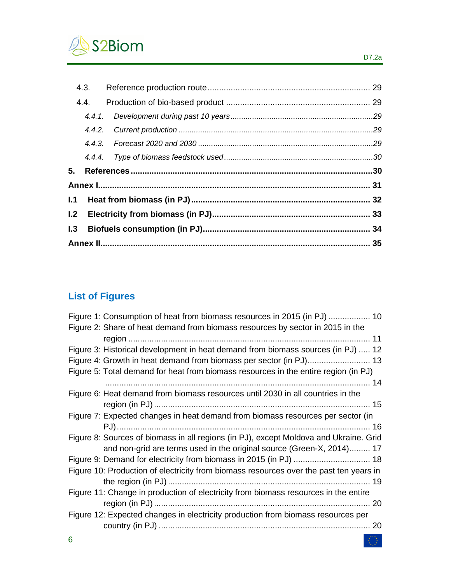

|     | 4.3.   |  |
|-----|--------|--|
|     | 4.4.   |  |
|     | 4.4.1. |  |
|     |        |  |
|     |        |  |
|     |        |  |
| 5.  |        |  |
|     |        |  |
| 1.1 |        |  |
| L2  |        |  |
| 1.3 |        |  |
|     |        |  |

# **List of Figures**

| Figure 1: Consumption of heat from biomass resources in 2015 (in PJ)  10<br>Figure 2: Share of heat demand from biomass resources by sector in 2015 in the |
|------------------------------------------------------------------------------------------------------------------------------------------------------------|
|                                                                                                                                                            |
| Figure 3: Historical development in heat demand from biomass sources (in PJ)  12                                                                           |
|                                                                                                                                                            |
| Figure 5: Total demand for heat from biomass resources in the entire region (in PJ)                                                                        |
|                                                                                                                                                            |
| Figure 6: Heat demand from biomass resources until 2030 in all countries in the                                                                            |
|                                                                                                                                                            |
| Figure 7: Expected changes in heat demand from biomass resources per sector (in                                                                            |
|                                                                                                                                                            |
| Figure 8: Sources of biomass in all regions (in PJ), except Moldova and Ukraine. Grid                                                                      |
| and non-grid are terms used in the original source (Green-X, 2014) 17                                                                                      |
|                                                                                                                                                            |
| Figure 10: Production of electricity from biomass resources over the past ten years in                                                                     |
|                                                                                                                                                            |
| Figure 11: Change in production of electricity from biomass resources in the entire                                                                        |
|                                                                                                                                                            |
| Figure 12: Expected changes in electricity production from biomass resources per                                                                           |
|                                                                                                                                                            |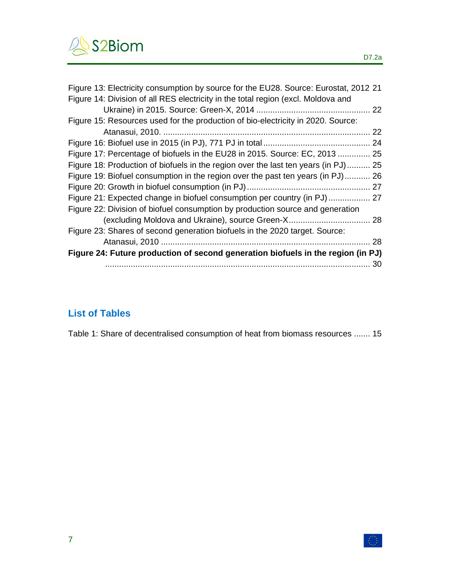

| Figure 13: Electricity consumption by source for the EU28. Source: Eurostat, 2012 21 |    |
|--------------------------------------------------------------------------------------|----|
| Figure 14: Division of all RES electricity in the total region (excl. Moldova and    |    |
|                                                                                      |    |
| Figure 15: Resources used for the production of bio-electricity in 2020. Source:     |    |
|                                                                                      | 22 |
|                                                                                      |    |
| Figure 17: Percentage of biofuels in the EU28 in 2015. Source: EC, 2013  25          |    |
| Figure 18: Production of biofuels in the region over the last ten years (in PJ) 25   |    |
| Figure 19: Biofuel consumption in the region over the past ten years (in PJ)         | 26 |
|                                                                                      |    |
| Figure 21: Expected change in biofuel consumption per country (in PJ)  27            |    |
| Figure 22: Division of biofuel consumption by production source and generation       |    |
| (excluding Moldova and Ukraine), source Green-X 28                                   |    |
| Figure 23: Shares of second generation biofuels in the 2020 target. Source:          |    |
|                                                                                      | 28 |
| Figure 24: Future production of second generation biofuels in the region (in PJ)     |    |
|                                                                                      |    |

# **List of Tables**

Table 1: Share of decentralised consumption of heat from biomass resources ....... 15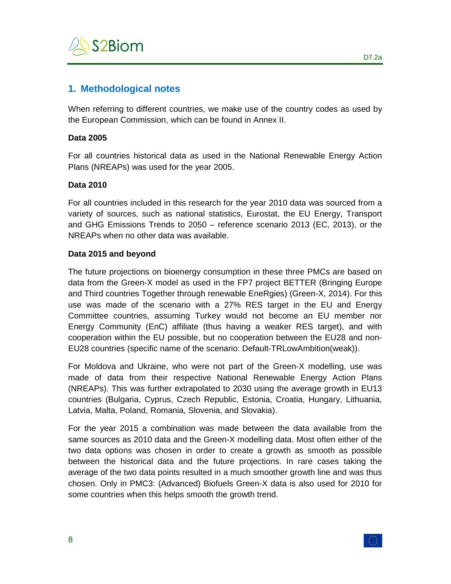

# **1. Methodological notes**

When referring to different countries, we make use of the country codes as used by the European Commission, which can be found in Annex II.

#### **Data 2005**

For all countries historical data as used in the National Renewable Energy Action Plans (NREAPs) was used for the year 2005.

#### **Data 2010**

For all countries included in this research for the year 2010 data was sourced from a variety of sources, such as national statistics, Eurostat, the EU Energy, Transport and GHG Emissions Trends to 2050 – reference scenario 2013 (EC, 2013), or the NREAPs when no other data was available.

## **Data 2015 and beyond**

The future projections on bioenergy consumption in these three PMCs are based on data from the Green-X model as used in the FP7 project BETTER (Bringing Europe and Third countries Together through renewable EneRgies) (Green-X, 2014). For this use was made of the scenario with a 27% RES target in the EU and Energy Committee countries, assuming Turkey would not become an EU member nor Energy Community (EnC) affiliate (thus having a weaker RES target), and with cooperation within the EU possible, but no cooperation between the EU28 and non-EU28 countries (specific name of the scenario: Default-TRLowAmbition(weak)).

For Moldova and Ukraine, who were not part of the Green-X modelling, use was made of data from their respective National Renewable Energy Action Plans (NREAPs). This was further extrapolated to 2030 using the average growth in EU13 countries (Bulgaria, Cyprus, Czech Republic, Estonia, Croatia, Hungary, Lithuania, Latvia, Malta, Poland, Romania, Slovenia, and Slovakia).

For the year 2015 a combination was made between the data available from the same sources as 2010 data and the Green-X modelling data. Most often either of the two data options was chosen in order to create a growth as smooth as possible between the historical data and the future projections. In rare cases taking the average of the two data points resulted in a much smoother growth line and was thus chosen. Only in PMC3: (Advanced) Biofuels Green-X data is also used for 2010 for some countries when this helps smooth the growth trend.

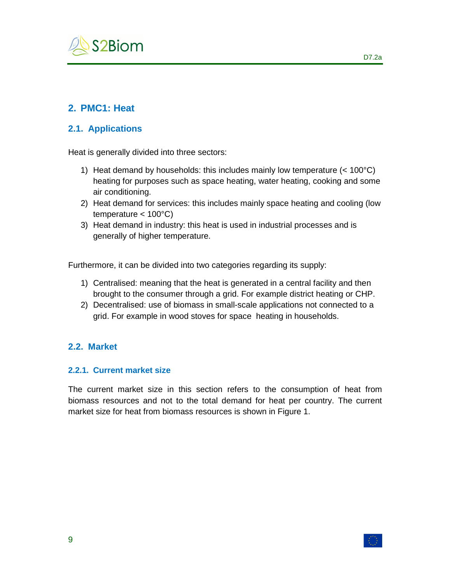

# **2. PMC1: Heat**

## **2.1. Applications**

Heat is generally divided into three sectors:

- 1) Heat demand by households: this includes mainly low temperature (< 100°C) heating for purposes such as space heating, water heating, cooking and some air conditioning.
- 2) Heat demand for services: this includes mainly space heating and cooling (low temperature  $< 100^{\circ}$ C)
- 3) Heat demand in industry: this heat is used in industrial processes and is generally of higher temperature.

Furthermore, it can be divided into two categories regarding its supply:

- 1) Centralised: meaning that the heat is generated in a central facility and then brought to the consumer through a grid. For example district heating or CHP.
- 2) Decentralised: use of biomass in small-scale applications not connected to a grid. For example in wood stoves for space heating in households.

## **2.2. Market**

#### **2.2.1. Current market size**

The current market size in this section refers to the consumption of heat from biomass resources and not to the total demand for heat per country. The current market size for heat from biomass resources is shown in Figure 1.

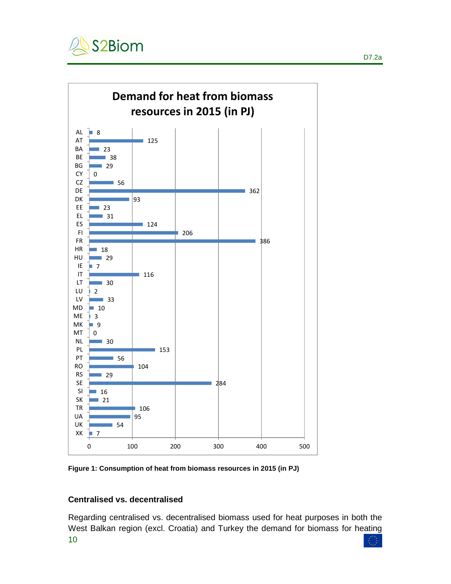



**Figure 1: Consumption of heat from biomass resources in 2015 (in PJ)** 

#### **Centralised vs. decentralised**

10 Regarding centralised vs. decentralised biomass used for heat purposes in both the West Balkan region (excl. Croatia) and Turkey the demand for biomass for heating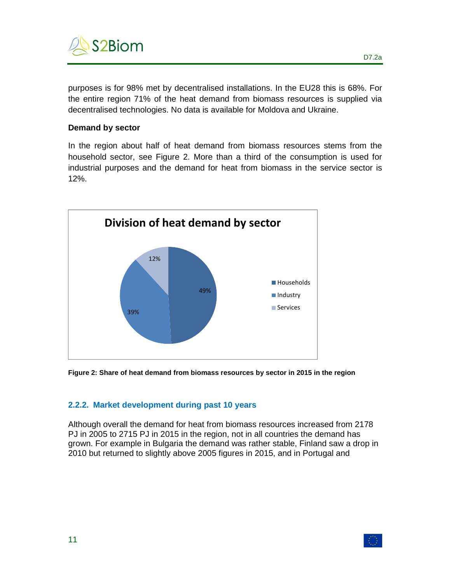

purposes is for 98% met by decentralised installations. In the EU28 this is 68%. For the entire region 71% of the heat demand from biomass resources is supplied via decentralised technologies. No data is available for Moldova and Ukraine.

#### **Demand by sector**

In the region about half of heat demand from biomass resources stems from the household sector, see Figure 2. More than a third of the consumption is used for industrial purposes and the demand for heat from biomass in the service sector is 12%.



**Figure 2: Share of heat demand from biomass resources by sector in 2015 in the region** 

## **2.2.2. Market development during past 10 years**

Although overall the demand for heat from biomass resources increased from 2178 PJ in 2005 to 2715 PJ in 2015 in the region, not in all countries the demand has grown. For example in Bulgaria the demand was rather stable, Finland saw a drop in 2010 but returned to slightly above 2005 figures in 2015, and in Portugal and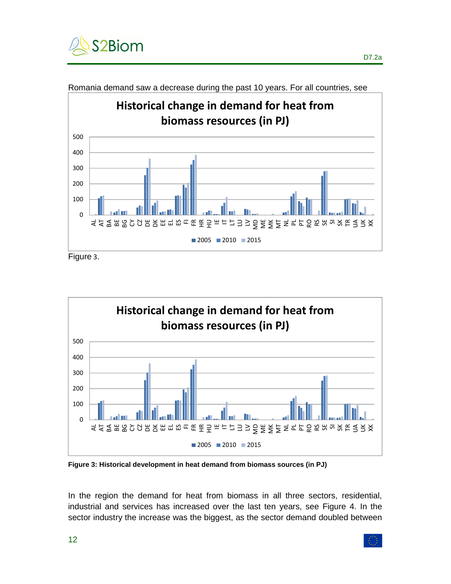



Romania demand saw a decrease during the past 10 years. For all countries, see



**Figure 3: Historical development in heat demand from biomass sources (in PJ)** 

In the region the demand for heat from biomass in all three sectors, residential, industrial and services has increased over the last ten years, see Figure 4. In the sector industry the increase was the biggest, as the sector demand doubled between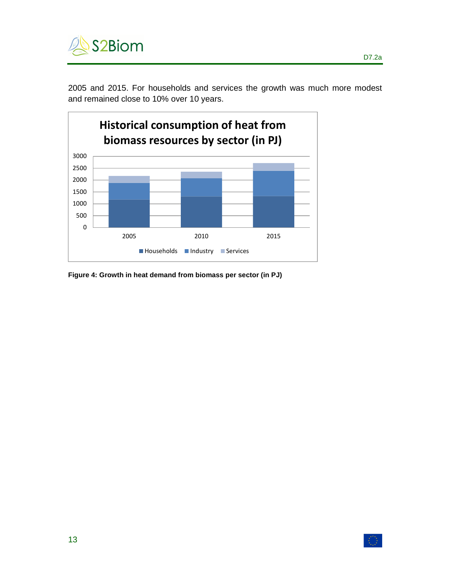

2005 and 2015. For households and services the growth was much more modest and remained close to 10% over 10 years.



**Figure 4: Growth in heat demand from biomass per sector (in PJ)**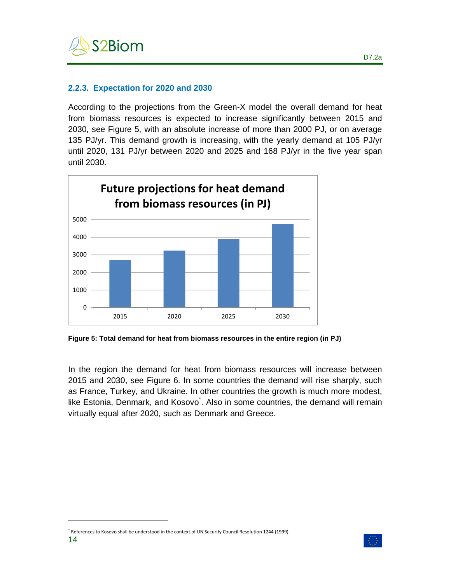

#### **2.2.3. Expectation for 2020 and 2030**

According to the projections from the Green-X model the overall demand for heat from biomass resources is expected to increase significantly between 2015 and 2030, see Figure 5, with an absolute increase of more than 2000 PJ, or on average 135 PJ/yr. This demand growth is increasing, with the yearly demand at 105 PJ/yr until 2020, 131 PJ/yr between 2020 and 2025 and 168 PJ/yr in the five year span until 2030.



**Figure 5: Total demand for heat from biomass resources in the entire region (in PJ)** 

In the region the demand for heat from biomass resources will increase between 2015 and 2030, see Figure 6. In some countries the demand will rise sharply, such as France, Turkey, and Ukraine. In other countries the growth is much more modest, like Estonia, Denmark, and Kosovo<sup>\*</sup>. Also in some countries, the demand will remain virtually equal after 2020, such as Denmark and Greece.

 $\overline{a}$ 



<sup>\*</sup> References to Kosovo shall be understood in the context of UN Security Council Resolution 1244 (1999).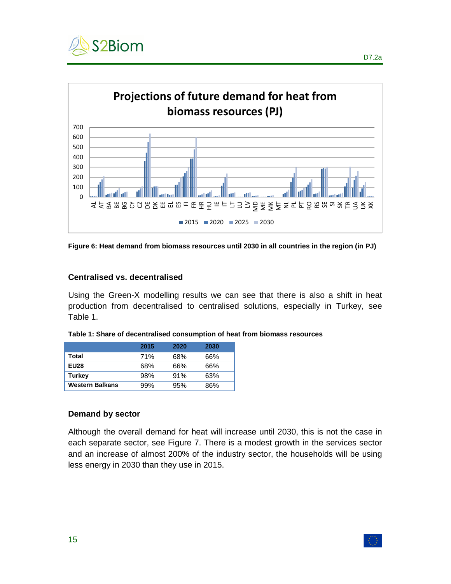



**Figure 6: Heat demand from biomass resources until 2030 in all countries in the region (in PJ)** 

#### **Centralised vs. decentralised**

Using the Green-X modelling results we can see that there is also a shift in heat production from decentralised to centralised solutions, especially in Turkey, see Table 1.

|                        | 2015 | 2020 | 2030 |
|------------------------|------|------|------|
| Total                  | 71%  | 68%  | 66%  |
| <b>EU28</b>            | 68%  | 66%  | 66%  |
| <b>Turkey</b>          | 98%  | 91%  | 63%  |
| <b>Western Balkans</b> | 99%  | 95%  | 86%  |

**Table 1: Share of decentralised consumption of heat from biomass resources** 

#### **Demand by sector**

Although the overall demand for heat will increase until 2030, this is not the case in each separate sector, see Figure 7. There is a modest growth in the services sector and an increase of almost 200% of the industry sector, the households will be using less energy in 2030 than they use in 2015.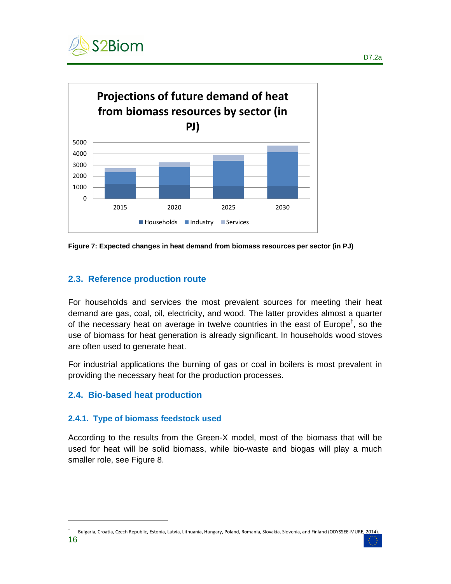



**Figure 7: Expected changes in heat demand from biomass resources per sector (in PJ)** 

# **2.3. Reference production route**

For households and services the most prevalent sources for meeting their heat demand are gas, coal, oil, electricity, and wood. The latter provides almost a quarter of the necessary heat on average in twelve countries in the east of Europe<sup>†</sup>, so the use of biomass for heat generation is already significant. In households wood stoves are often used to generate heat.

For industrial applications the burning of gas or coal in boilers is most prevalent in providing the necessary heat for the production processes.

## **2.4. Bio-based heat production**

 $\overline{a}$ 

#### **2.4.1. Type of biomass feedstock used**

According to the results from the Green-X model, most of the biomass that will be used for heat will be solid biomass, while bio-waste and biogas will play a much smaller role, see Figure 8.



<sup>16</sup>  † Bulgaria, Croatia, Czech Republic, Estonia, Latvia, Lithuania, Hungary, Poland, Romania, Slovakia, Slovenia, and Finland (ODYSSEE-MURE, 2014).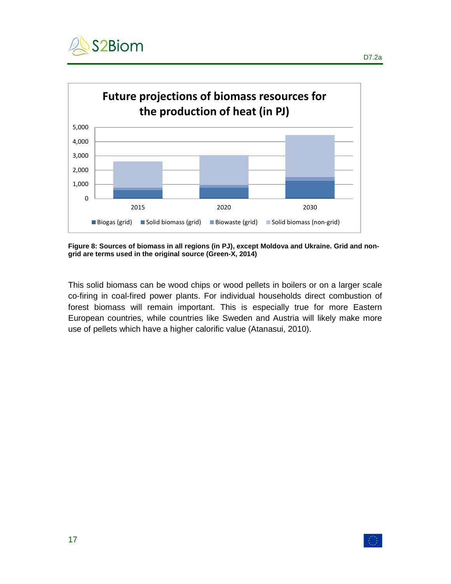



**Figure 8: Sources of biomass in all regions (in PJ), except Moldova and Ukraine. Grid and nongrid are terms used in the original source (Green-X, 2014)** 

This solid biomass can be wood chips or wood pellets in boilers or on a larger scale co-firing in coal-fired power plants. For individual households direct combustion of forest biomass will remain important. This is especially true for more Eastern European countries, while countries like Sweden and Austria will likely make more use of pellets which have a higher calorific value (Atanasui, 2010).

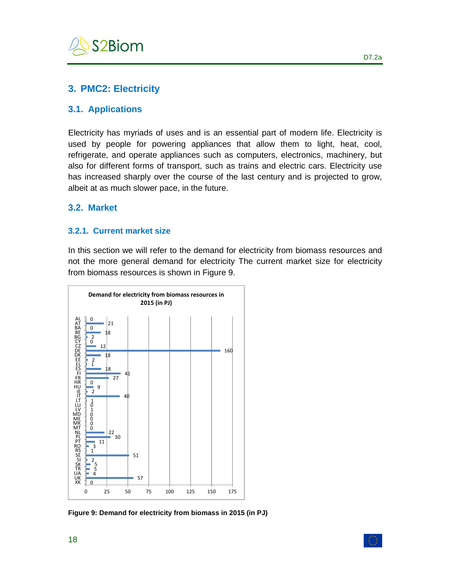

# **3. PMC2: Electricity**

#### **3.1. Applications**

Electricity has myriads of uses and is an essential part of modern life. Electricity is used by people for powering appliances that allow them to light, heat, cool, refrigerate, and operate appliances such as computers, electronics, machinery, but also for different forms of transport, such as trains and electric cars. Electricity use has increased sharply over the course of the last century and is projected to grow, albeit at as much slower pace, in the future.

#### **3.2. Market**

#### **3.2.1. Current market size**

In this section we will refer to the demand for electricity from biomass resources and not the more general demand for electricity The current market size for electricity from biomass resources is shown in Figure 9.



**Figure 9: Demand for electricity from biomass in 2015 (in PJ)**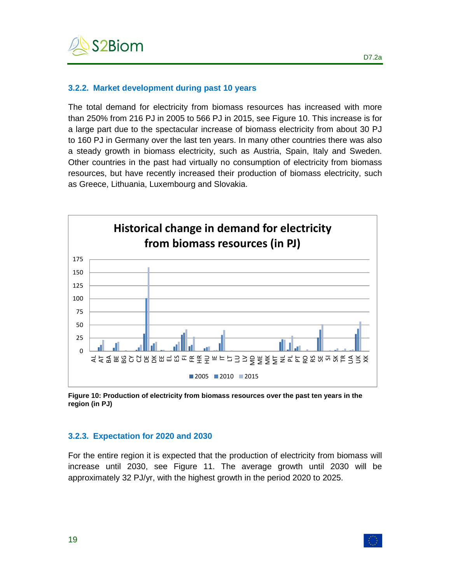

#### **3.2.2. Market development during past 10 years**

The total demand for electricity from biomass resources has increased with more than 250% from 216 PJ in 2005 to 566 PJ in 2015, see Figure 10. This increase is for a large part due to the spectacular increase of biomass electricity from about 30 PJ to 160 PJ in Germany over the last ten years. In many other countries there was also a steady growth in biomass electricity, such as Austria, Spain, Italy and Sweden. Other countries in the past had virtually no consumption of electricity from biomass resources, but have recently increased their production of biomass electricity, such as Greece, Lithuania, Luxembourg and Slovakia.



**Figure 10: Production of electricity from biomass resources over the past ten years in the region (in PJ)** 

#### **3.2.3. Expectation for 2020 and 2030**

For the entire region it is expected that the production of electricity from biomass will increase until 2030, see Figure 11. The average growth until 2030 will be approximately 32 PJ/yr, with the highest growth in the period 2020 to 2025.

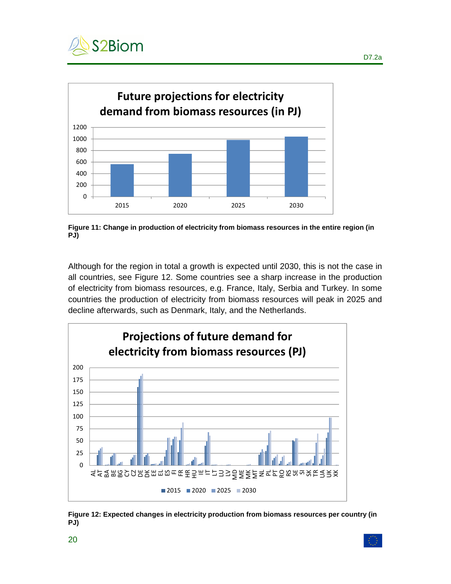



**Figure 11: Change in production of electricity from biomass resources in the entire region (in PJ)** 

Although for the region in total a growth is expected until 2030, this is not the case in all countries, see Figure 12. Some countries see a sharp increase in the production of electricity from biomass resources, e.g. France, Italy, Serbia and Turkey. In some countries the production of electricity from biomass resources will peak in 2025 and decline afterwards, such as Denmark, Italy, and the Netherlands.



**Figure 12: Expected changes in electricity production from biomass resources per country (in PJ)**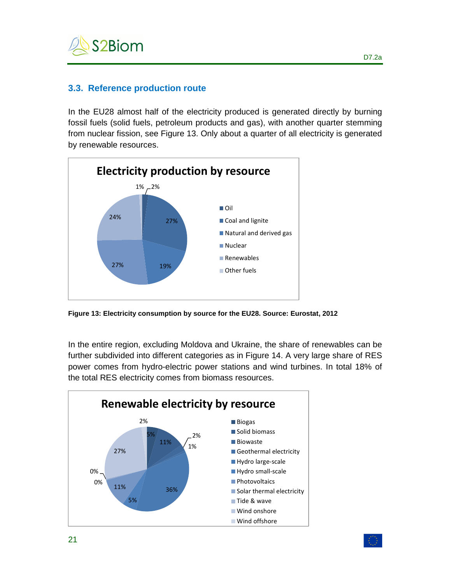

## **3.3. Reference production route**

In the EU28 almost half of the electricity produced is generated directly by burning fossil fuels (solid fuels, petroleum products and gas), with another quarter stemming from nuclear fission, see Figure 13. Only about a quarter of all electricity is generated by renewable resources.



**Figure 13: Electricity consumption by source for the EU28. Source: Eurostat, 2012** 

In the entire region, excluding Moldova and Ukraine, the share of renewables can be further subdivided into different categories as in Figure 14. A very large share of RES power comes from hydro-electric power stations and wind turbines. In total 18% of the total RES electricity comes from biomass resources.

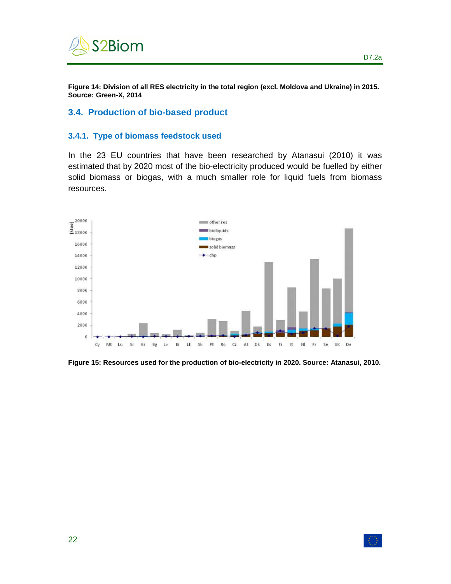

**Figure 14: Division of all RES electricity in the total region (excl. Moldova and Ukraine) in 2015. Source: Green-X, 2014** 

#### **3.4. Production of bio-based product**

#### **3.4.1. Type of biomass feedstock used**

In the 23 EU countries that have been researched by Atanasui (2010) it was estimated that by 2020 most of the bio-electricity produced would be fuelled by either solid biomass or biogas, with a much smaller role for liquid fuels from biomass resources.



**Figure 15: Resources used for the production of bio-electricity in 2020. Source: Atanasui, 2010.** 

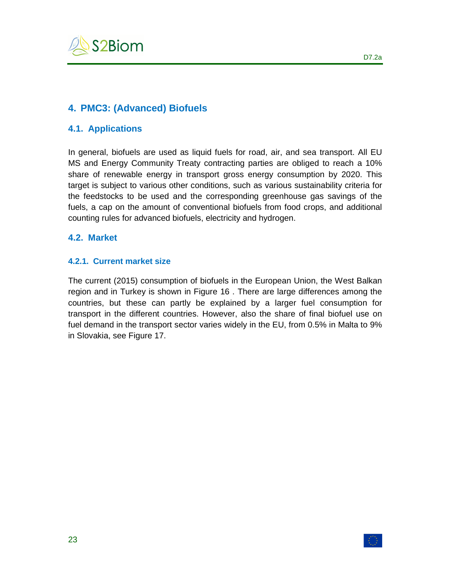

# **4. PMC3: (Advanced) Biofuels**

#### **4.1. Applications**

In general, biofuels are used as liquid fuels for road, air, and sea transport. All EU MS and Energy Community Treaty contracting parties are obliged to reach a 10% share of renewable energy in transport gross energy consumption by 2020. This target is subject to various other conditions, such as various sustainability criteria for the feedstocks to be used and the corresponding greenhouse gas savings of the fuels, a cap on the amount of conventional biofuels from food crops, and additional counting rules for advanced biofuels, electricity and hydrogen.

#### **4.2. Market**

#### **4.2.1. Current market size**

The current (2015) consumption of biofuels in the European Union, the West Balkan region and in Turkey is shown in Figure 16 . There are large differences among the countries, but these can partly be explained by a larger fuel consumption for transport in the different countries. However, also the share of final biofuel use on fuel demand in the transport sector varies widely in the EU, from 0.5% in Malta to 9% in Slovakia, see Figure 17.

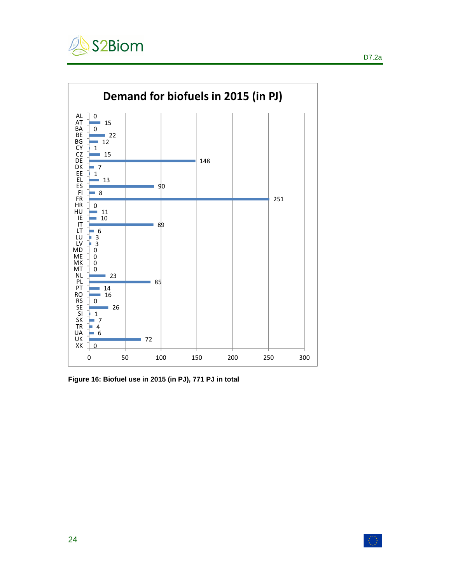



**Figure 16: Biofuel use in 2015 (in PJ), 771 PJ in total**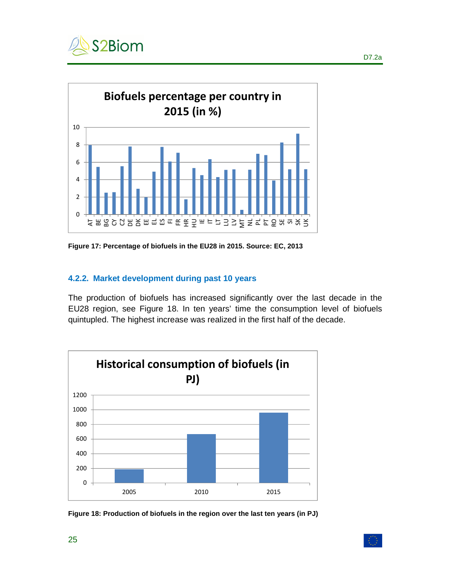



**Figure 17: Percentage of biofuels in the EU28 in 2015. Source: EC, 2013** 

#### **4.2.2. Market development during past 10 years**

The production of biofuels has increased significantly over the last decade in the EU28 region, see Figure 18. In ten years' time the consumption level of biofuels quintupled. The highest increase was realized in the first half of the decade.



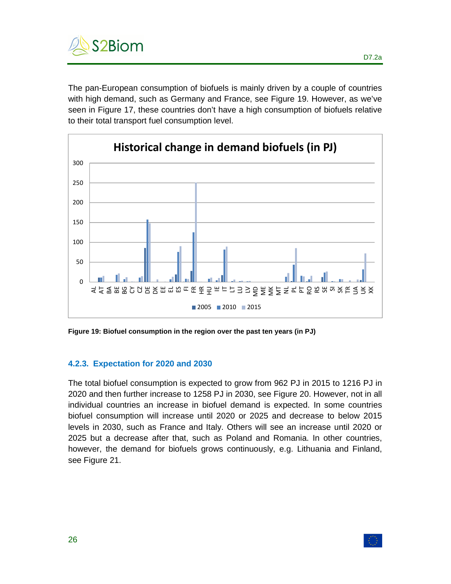

The pan-European consumption of biofuels is mainly driven by a couple of countries with high demand, such as Germany and France, see Figure 19. However, as we've seen in Figure 17, these countries don't have a high consumption of biofuels relative to their total transport fuel consumption level.



**Figure 19: Biofuel consumption in the region over the past ten years (in PJ)** 

#### **4.2.3. Expectation for 2020 and 2030**

The total biofuel consumption is expected to grow from 962 PJ in 2015 to 1216 PJ in 2020 and then further increase to 1258 PJ in 2030, see Figure 20. However, not in all individual countries an increase in biofuel demand is expected. In some countries biofuel consumption will increase until 2020 or 2025 and decrease to below 2015 levels in 2030, such as France and Italy. Others will see an increase until 2020 or 2025 but a decrease after that, such as Poland and Romania. In other countries, however, the demand for biofuels grows continuously, e.g. Lithuania and Finland, see Figure 21.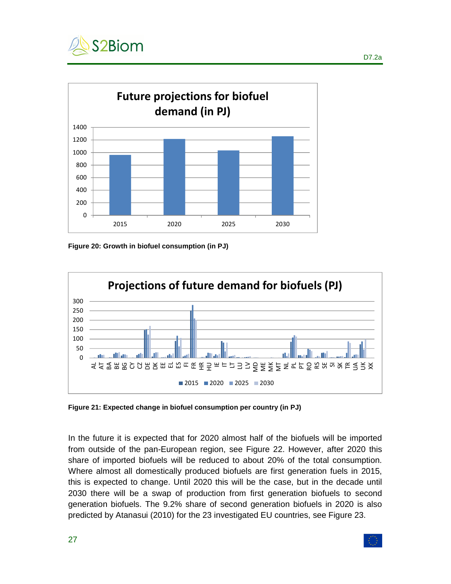



**Figure 20: Growth in biofuel consumption (in PJ)** 



**Figure 21: Expected change in biofuel consumption per country (in PJ)** 

In the future it is expected that for 2020 almost half of the biofuels will be imported from outside of the pan-European region, see Figure 22. However, after 2020 this share of imported biofuels will be reduced to about 20% of the total consumption. Where almost all domestically produced biofuels are first generation fuels in 2015, this is expected to change. Until 2020 this will be the case, but in the decade until 2030 there will be a swap of production from first generation biofuels to second generation biofuels. The 9.2% share of second generation biofuels in 2020 is also predicted by Atanasui (2010) for the 23 investigated EU countries, see Figure 23.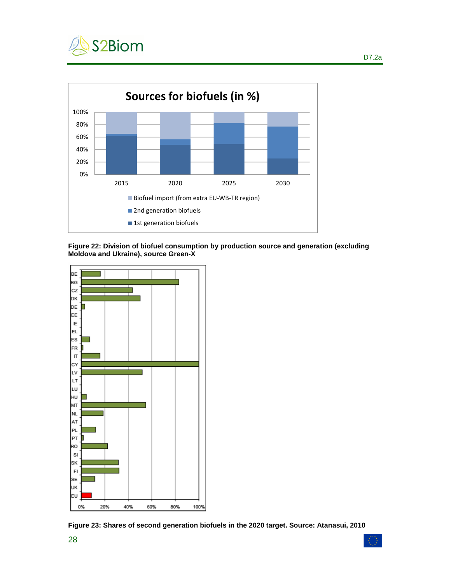



**Figure 22: Division of biofuel consumption by production source and generation (excluding Moldova and Ukraine), source Green-X** 



**Figure 23: Shares of second generation biofuels in the 2020 target. Source: Atanasui, 2010**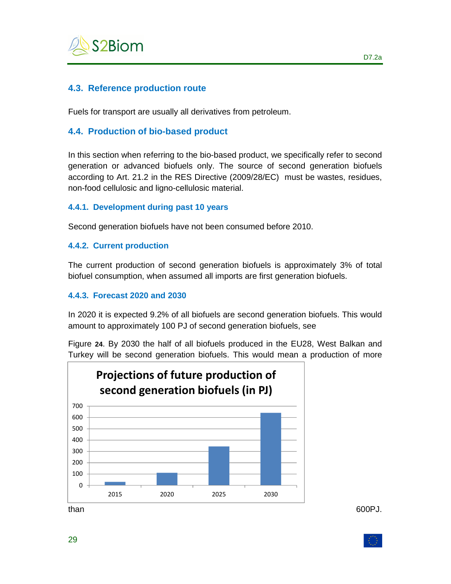

## **4.3. Reference production route**

Fuels for transport are usually all derivatives from petroleum.

## **4.4. Production of bio-based product**

In this section when referring to the bio-based product, we specifically refer to second generation or advanced biofuels only. The source of second generation biofuels according to Art. 21.2 in the RES Directive (2009/28/EC) must be wastes, residues, non-food cellulosic and ligno-cellulosic material.

#### **4.4.1. Development during past 10 years**

Second generation biofuels have not been consumed before 2010.

#### **4.4.2. Current production**

The current production of second generation biofuels is approximately 3% of total biofuel consumption, when assumed all imports are first generation biofuels.

#### **4.4.3. Forecast 2020 and 2030**

In 2020 it is expected 9.2% of all biofuels are second generation biofuels. This would amount to approximately 100 PJ of second generation biofuels, see

Figure **24**. By 2030 the half of all biofuels produced in the EU28, West Balkan and Turkey will be second generation biofuels. This would mean a production of more



than 600PJ.

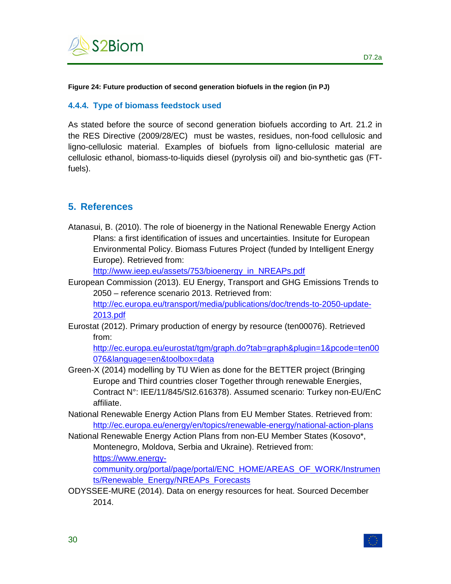

#### **Figure 24: Future production of second generation biofuels in the region (in PJ)**

#### **4.4.4. Type of biomass feedstock used**

As stated before the source of second generation biofuels according to Art. 21.2 in the RES Directive (2009/28/EC) must be wastes, residues, non-food cellulosic and ligno-cellulosic material. Examples of biofuels from ligno-cellulosic material are cellulosic ethanol, biomass-to-liquids diesel (pyrolysis oil) and bio-synthetic gas (FTfuels).

# **5. References**

Atanasui, B. (2010). The role of bioenergy in the National Renewable Energy Action Plans: a first identification of issues and uncertainties. Insitute for European Environmental Policy. Biomass Futures Project (funded by Intelligent Energy Europe). Retrieved from:

http://www.ieep.eu/assets/753/bioenergy\_in\_NREAPs.pdf

European Commission (2013). EU Energy, Transport and GHG Emissions Trends to 2050 – reference scenario 2013. Retrieved from:

http://ec.europa.eu/transport/media/publications/doc/trends-to-2050-update-2013.pdf

Eurostat (2012). Primary production of energy by resource (ten00076). Retrieved from:

http://ec.europa.eu/eurostat/tgm/graph.do?tab=graph&plugin=1&pcode=ten00 076&language=en&toolbox=data

- Green-X (2014) modelling by TU Wien as done for the BETTER project (Bringing Europe and Third countries closer Together through renewable Energies, Contract N°: IEE/11/845/SI2.616378). Assumed scenario: Turkey non-EU/EnC affiliate.
- National Renewable Energy Action Plans from EU Member States. Retrieved from: http://ec.europa.eu/energy/en/topics/renewable-energy/national-action-plans
- National Renewable Energy Action Plans from non-EU Member States (Kosovo\*, Montenegro, Moldova, Serbia and Ukraine). Retrieved from:

https://www.energy-

community.org/portal/page/portal/ENC\_HOME/AREAS\_OF\_WORK/Instrumen ts/Renewable\_Energy/NREAPs\_Forecasts

ODYSSEE-MURE (2014). Data on energy resources for heat. Sourced December 2014.

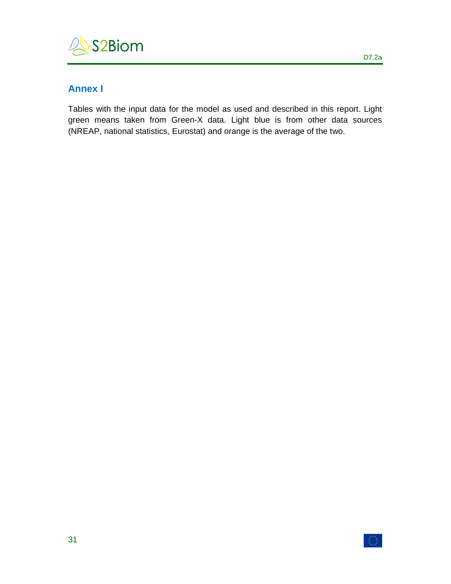

# **Annex I**

Tables with the input data for the model as used and described in this report. Light green means taken from Green-X data. Light blue is from other data sources (NREAP, national statistics, Eurostat) and orange is the average of the two.



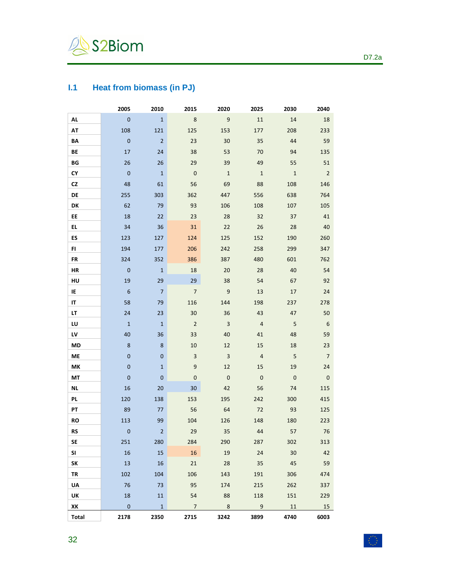

# **I.1 Heat from biomass (in PJ)**

|              | 2005             | 2010           | 2015                    | 2020                    | 2025           | 2030           | 2040                     |
|--------------|------------------|----------------|-------------------------|-------------------------|----------------|----------------|--------------------------|
| <b>AL</b>    | $\mathbf 0$      | $\mathbf{1}$   | $\bf 8$                 | $\overline{9}$          | 11             | 14             | 18                       |
| AT           | 108              | 121            | 125                     | 153                     | 177            | 208            | 233                      |
| BA           | $\pmb{0}$        | $\overline{2}$ | 23                      | 30                      | 35             | 44             | 59                       |
| <b>BE</b>    | 17               | 24             | 38                      | 53                      | 70             | 94             | 135                      |
| ΒG           | 26               | 26             | 29                      | 39                      | 49             | 55             | 51                       |
| СY           | $\pmb{0}$        | $1\,$          | $\overline{\mathbf{0}}$ | $\mathbf{1}$            | $1\,$          | $\mathbf{1}$   | $\overline{2}$           |
| CZ           | 48               | 61             | 56                      | 69                      | 88             | 108            | 146                      |
| DE           | 255              | 303            | 362                     | 447                     | 556            | 638            | 764                      |
| DK           | 62               | 79             | 93                      | 106                     | 108            | 107            | 105                      |
| EE           | 18               | 22             | 23                      | 28                      | 32             | 37             | 41                       |
| EL.          | 34               | 36             | 31                      | 22                      | 26             | 28             | 40                       |
| ES           | 123              | 127            | 124                     | 125                     | 152            | 190            | 260                      |
| FI.          | 194              | 177            | 206                     | 242                     | 258            | 299            | 347                      |
| FR           | 324              | 352            | 386                     | 387                     | 480            | 601            | 762                      |
| HR           | $\mathbf{0}$     | $\mathbf{1}$   | 18                      | 20                      | 28             | 40             | 54                       |
| HU           | 19               | 29             | 29                      | 38                      | 54             | 67             | 92                       |
| IE           | $\boldsymbol{6}$ | $\overline{7}$ | $\overline{7}$          | $9\,$                   | 13             | 17             | 24                       |
| ΙT           | 58               | 79             | 116                     | 144                     | 198            | 237            | 278                      |
| LΤ           | 24               | 23             | 30                      | 36                      | 43             | 47             | 50                       |
| LU           | $\mathbf 1$      | $1\,$          | $\sqrt{2}$              | $\overline{\mathbf{3}}$ | $\overline{4}$ | $\sf 5$        | 6                        |
| LV           | 40               | 36             | 33                      | 40                      | 41             | 48             | 59                       |
| MD           | $\bf 8$          | 8              | 10                      | 12                      | 15             | 18             | 23                       |
| ME           | $\bf 0$          | $\bf{0}$       | $\overline{3}$          | $\overline{3}$          | $\sqrt{4}$     | 5              | $\overline{7}$           |
| MK           | $\mathbf{0}$     | $\mathbf 1$    | $\boldsymbol{9}$        | 12                      | 15             | 19             | 24                       |
| МT           | $\mathbf{0}$     | $\mathbf 0$    | $\pmb{0}$               | $\overline{0}$          | $\mathbf 0$    | $\overline{0}$ | $\overline{\phantom{0}}$ |
| ΝL           | 16               | 20             | 30                      | 42                      | 56             | 74             | 115                      |
| PL           | 120              | 138            | 153                     | 195                     | 242            | 300            | 415                      |
| PT           | 89               | 77             | 56                      | 64                      | 72             | 93             | 125                      |
| <b>RO</b>    | 113              | 99             | 104                     | 126                     | 148            | 180            | 223                      |
| RS           | $\boldsymbol{0}$ | $\overline{2}$ | 29                      | 35                      | 44             | 57             | 76                       |
| <b>SE</b>    | 251              | 280            | 284                     | 290                     | 287            | 302            | 313                      |
| SI           | 16               | 15             | 16                      | 19                      | 24             | $30\,$         | 42                       |
| SΚ           | 13               | 16             | 21                      | 28                      | 35             | 45             | 59                       |
| TR           | 102              | 104            | 106                     | 143                     | 191            | 306            | 474                      |
| UA           | 76               | 73             | 95                      | 174                     | 215            | 262            | 337                      |
| UK           | 18               | 11             | 54                      | 88                      | 118            | 151            | 229                      |
| ΧK           | $\mathbf{0}$     | $\mathbf{1}$   | $\overline{7}$          | 8                       | 9              | 11             | 15                       |
| <b>Total</b> | 2178             | 2350           | 2715                    | 3242                    | 3899           | 4740           | 6003                     |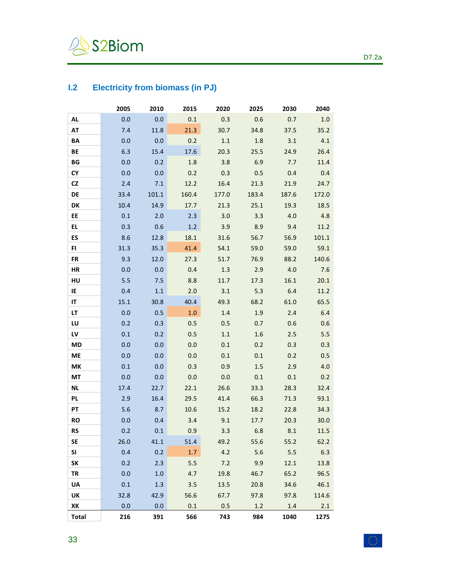

# **I.2 Electricity from biomass (in PJ)**

|              | 2005 | 2010    | 2015  | 2020    | 2025    | 2030    | 2040  |
|--------------|------|---------|-------|---------|---------|---------|-------|
| AL           | 0.0  | 0.0     | 0.1   | 0.3     | 0.6     | 0.7     | 1.0   |
| AT           | 7.4  | 11.8    | 21.3  | 30.7    | 34.8    | 37.5    | 35.2  |
| BA           | 0.0  | 0.0     | 0.2   | $1.1\,$ | 1.8     | 3.1     | 4.1   |
| BE           | 6.3  | 15.4    | 17.6  | 20.3    | 25.5    | 24.9    | 26.4  |
| BG           | 0.0  | 0.2     | 1.8   | 3.8     | 6.9     | 7.7     | 11.4  |
| CY           | 0.0  | 0.0     | 0.2   | 0.3     | 0.5     | 0.4     | 0.4   |
| CZ           | 2.4  | 7.1     | 12.2  | 16.4    | 21.3    | 21.9    | 24.7  |
| DE           | 33.4 | 101.1   | 160.4 | 177.0   | 183.4   | 187.6   | 172.0 |
| DK           | 10.4 | 14.9    | 17.7  | 21.3    | 25.1    | 19.3    | 18.5  |
| EE           | 0.1  | 2.0     | 2.3   | 3.0     | 3.3     | 4.0     | 4.8   |
| EL           | 0.3  | 0.6     | 1.2   | 3.9     | 8.9     | 9.4     | 11.2  |
| ES           | 8.6  | 12.8    | 18.1  | 31.6    | 56.7    | 56.9    | 101.1 |
| FI           | 31.3 | 35.3    | 41.4  | 54.1    | 59.0    | 59.0    | 59.1  |
| <b>FR</b>    | 9.3  | 12.0    | 27.3  | 51.7    | 76.9    | 88.2    | 140.6 |
| HR           | 0.0  | 0.0     | 0.4   | 1.3     | 2.9     | 4.0     | 7.6   |
| HU           | 5.5  | 7.5     | 8.8   | 11.7    | 17.3    | 16.1    | 20.1  |
| IE           | 0.4  | $1.1\,$ | 2.0   | 3.1     | 5.3     | 6.4     | 11.2  |
| IT           | 15.1 | 30.8    | 40.4  | 49.3    | 68.2    | 61.0    | 65.5  |
| LT           | 0.0  | 0.5     | 1.0   | $1.4\,$ | 1.9     | 2.4     | 6.4   |
| LU           | 0.2  | 0.3     | 0.5   | 0.5     | 0.7     | 0.6     | 0.6   |
| LV           | 0.1  | 0.2     | 0.5   | $1.1\,$ | $1.6\,$ | 2.5     | 5.5   |
| <b>MD</b>    | 0.0  | 0.0     | 0.0   | $0.1\,$ | 0.2     | 0.3     | 0.3   |
| <b>ME</b>    | 0.0  | 0.0     | 0.0   | 0.1     | 0.1     | 0.2     | 0.5   |
| MК           | 0.1  | 0.0     | 0.3   | 0.9     | $1.5\,$ | 2.9     | 4.0   |
| MT           | 0.0  | 0.0     | 0.0   | 0.0     | 0.1     | $0.1\,$ | 0.2   |
| <b>NL</b>    | 17.4 | 22.7    | 22.1  | 26.6    | 33.3    | 28.3    | 32.4  |
| PL           | 2.9  | 16.4    | 29.5  | 41.4    | 66.3    | 71.3    | 93.1  |
| PT           | 5.6  | 8.7     | 10.6  | 15.2    | 18.2    | 22.8    | 34.3  |
| <b>RO</b>    | 0.0  | 0.4     | 3.4   | 9.1     | 17.7    | 20.3    | 30.0  |
| <b>RS</b>    | 0.2  | 0.1     | 0.9   | 3.3     | 6.8     | 8.1     | 11.5  |
| SE           | 26.0 | 41.1    | 51.4  | 49.2    | 55.6    | 55.2    | 62.2  |
| SI           | 0.4  | 0.2     | 1.7   | 4.2     | 5.6     | 5.5     | 6.3   |
| SΚ           | 0.2  | 2.3     | 5.5   | 7.2     | 9.9     | 12.1    | 13.8  |
| TR           | 0.0  | 1.0     | 4.7   | 19.8    | 46.7    | 65.2    | 96.5  |
| UA           | 0.1  | 1.3     | 3.5   | 13.5    | 20.8    | 34.6    | 46.1  |
| UK           | 32.8 | 42.9    | 56.6  | 67.7    | 97.8    | 97.8    | 114.6 |
| ΧK           | 0.0  | 0.0     | 0.1   | 0.5     | 1.2     | 1.4     | 2.1   |
| <b>Total</b> | 216  | 391     | 566   | 743     | 984     | 1040    | 1275  |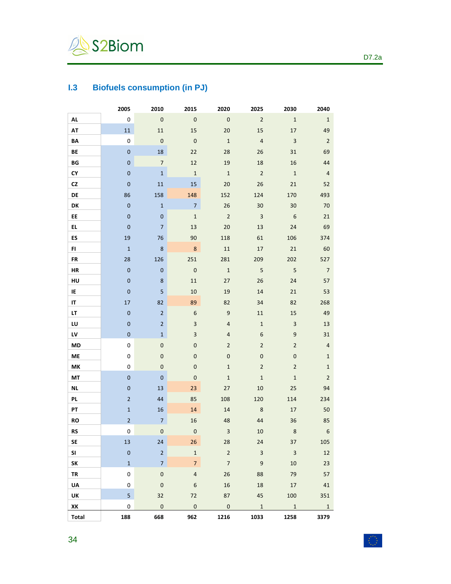

# **I.3 Biofuels consumption (in PJ)**

|                        | 2005             | 2010                     | 2015                    | 2020             | 2025                      | 2030             | 2040             |
|------------------------|------------------|--------------------------|-------------------------|------------------|---------------------------|------------------|------------------|
| AL                     | $\pmb{0}$        | $\pmb{0}$                | $\pmb{0}$               | $\mathbf 0$      | $\overline{2}$            | $\mathbf 1$      | $\mathbf{1}$     |
| AT                     | $11\,$           | $11\,$                   | 15                      | $20\,$           | 15                        | 17               | 49               |
| BA                     | $\pmb{0}$        | $\pmb{0}$                | $\mathbf 0$             | $\mathbf 1$      | $\overline{4}$            | $\mathbf{3}$     | $\overline{2}$   |
| BE                     | $\pmb{0}$        | 18                       | 22                      | 28               | 26                        | 31               | 69               |
| $\mathsf{B}\mathsf{G}$ | $\pmb{0}$        | $\boldsymbol{7}$         | $12\,$                  | 19               | 18                        | 16               | 44               |
| CY                     | $\pmb{0}$        | $1\,$                    | $\mathbf{1}$            | $\mathbf{1}$     | $\sqrt{2}$                | $\mathbf 1$      | $\overline{4}$   |
| CZ                     | $\pmb{0}$        | 11                       | 15                      | 20               | 26                        | 21               | 52               |
| DE                     | 86               | 158                      | 148                     | 152              | 124                       | 170              | 493              |
| DK                     | $\pmb{0}$        | $\mathbf 1$              | $\overline{7}$          | 26               | 30                        | 30               | 70               |
| EE.                    | $\mathbf 0$      | $\bf 0$                  | $\mathbf 1$             | $\overline{2}$   | $\ensuremath{\mathsf{3}}$ | 6                | 21               |
| EL.                    | $\pmb{0}$        | $\overline{\phantom{a}}$ | 13                      | $20\,$           | 13                        | 24               | 69               |
| ES                     | 19               | 76                       | 90                      | 118              | 61                        | 106              | 374              |
| FI.                    | $\mathbf 1$      | $\bf 8$                  | $\bf 8$                 | $11\,$           | $17\,$                    | $21\,$           | 60               |
| FR                     | 28               | 126                      | 251                     | 281              | 209                       | 202              | 527              |
| ${\sf HR}$             | $\pmb{0}$        | $\pmb{0}$                | $\mathbf 0$             | $\mathbf 1$      | $\sqrt{5}$                | 5                | $\overline{7}$   |
| HU                     | $\pmb{0}$        | $\bf 8$                  | $11\,$                  | 27               | 26                        | 24               | 57               |
| IE                     | $\pmb{0}$        | $\sqrt{5}$               | 10                      | 19               | 14                        | 21               | 53               |
| IT.                    | $17\,$           | 82                       | 89                      | 82               | 34                        | 82               | 268              |
| LT                     | $\pmb{0}$        | $\mathbf 2$              | $\boldsymbol{6}$        | $\boldsymbol{9}$ | $11\,$                    | 15               | 49               |
| LU                     | $\pmb{0}$        | $\overline{2}$           | $\overline{\mathbf{3}}$ | $\overline{4}$   | $\mathbf 1$               | $\mathsf 3$      | 13               |
| LV                     | $\mathbf 0$      | $1\,$                    | $\mathsf 3$             | $\overline{4}$   | $\boldsymbol{6}$          | $\boldsymbol{9}$ | 31               |
| MD                     | $\pmb{0}$        | $\pmb{0}$                | $\pmb{0}$               | $\overline{2}$   | $\overline{2}$            | $\mathbf 2$      | $\sqrt{4}$       |
| ME                     | 0                | $\bf 0$                  | $\pmb{0}$               | $\pmb{0}$        | $\bf 0$                   | $\pmb{0}$        | $\mathbf 1$      |
| MK                     | 0                | $\pmb{0}$                | $\pmb{0}$               | $\mathbf{1}$     | $\mathbf 2$               | $\mathbf 2$      | $\mathbf{1}$     |
| $\mathsf{MT}$          | $\pmb{0}$        | $\mathbf 0$              | $\pmb{0}$               | $\mathbf 1$      | $\mathbf 1$               | $\mathbf 1$      | $\mathbf 2$      |
| <b>NL</b>              | $\pmb{0}$        | 13                       | 23                      | 27               | $10\,$                    | 25               | 94               |
| PL.                    | $\mathbf 2$      | 44                       | 85                      | 108              | 120                       | 114              | 234              |
| PT                     | $\mathbf 1$      | 16                       | 14                      | 14               | $\,8\,$                   | 17               | $50\,$           |
| RO                     | $\overline{2}$   | $\overline{7}$           | 16                      | 48               | 44                        | 36               | 85               |
| RS                     | 0                | $\pmb{0}$                | $\pmb{0}$               | 3                | 10                        | 8                | $\boldsymbol{6}$ |
| <b>SE</b>              | 13               | 24                       | 26                      | 28               | 24                        | 37               | 105              |
| SI                     | $\pmb{0}$        | $\mathbf 2$              | $\mathbf 1$             | $\mathbf 2$      | $\mathbf{3}$              | $\mathsf 3$      | 12               |
| SK                     | $\mathbf{1}$     | $\overline{7}$           | $\overline{7}$          | $\overline{7}$   | $\boldsymbol{9}$          | 10               | 23               |
| <b>TR</b>              | 0                | $\mathbf 0$              | $\overline{4}$          | 26               | 88                        | 79               | 57               |
| UA                     | $\pmb{0}$        | $\mathbf 0$              | $\boldsymbol{6}$        | 16               | 18                        | $17\,$           | 41               |
| UK                     | 5                | 32                       | 72                      | 87               | 45                        | 100              | 351              |
| XK                     | $\boldsymbol{0}$ | $\mathbf 0$              | $\pmb{0}$               | $\mathbf 0$      | $\,1\,$                   | $\mathbf 1$      | $\mathbf{1}$     |
| Total                  | 188              | 668                      | 962                     | 1216             | 1033                      | 1258             | 3379             |